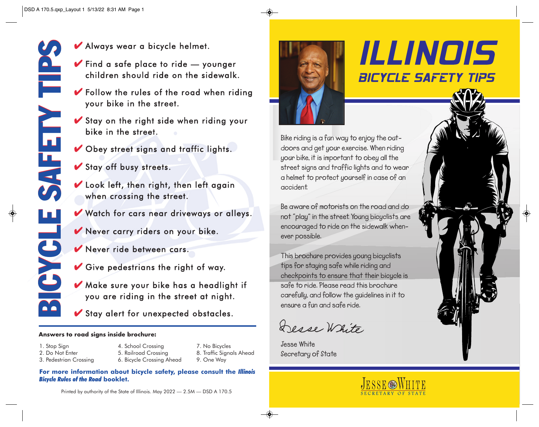- $\blacktriangleright$  Find a safe place to ride  $-$  younger children should ride on the sidewalk.
- $\blacktriangleright$  Follow the rules of the road when riding your bike in the street.
- $\blacktriangleright$  Stay on the right side when riding your bike in the street.
- Gbey street signs and traffic lights.
- $\blacktriangleright$  Stay off busy streets.
- $\blacktriangleright$  Look left, then right, then left again when crossing the street.
- Watch for cars near driveways or alleys.
- K Never carry riders on your bike.
- Kever ride between cars.
- $\vee$  Give pedestrians the right of way.
- Make sure your bike has a headlight if you are riding in the street at night.
- Stay alert for unexpected obstacles.

#### **Answers to road signs inside brochure:**

- 1. Stop Sign
- 2. Do Not Enter
- 3. Pedestrian Crossing
- 4. School Crossing 5. Railroad Crossing 6. Bicycle Crossing Ahead
- 7. No Bicycles 8. Traffic Signals Ahead 9. One Way
- **For more information about bicycle safety, please consult the** *Illinois Bicycle Rules of the Road* **booklet.**



# ILLINOIS **BICYCLE SAFETY TIPS**

**Bike riding is a fun way to enjoy the outdoors and get your exercise. When riding your bike, it is important to obey all the street signs and traffic lights and to wear a helmet to protect yourself in case of an accident.** 

**Be aware of motorists on the road and do not "play" in the street. Young bicyclists are encouraged to ride on the sidewalk when ever possible.** 

**This brochure provides young bicyclists tips for staying safe while riding and checkpoints to ensure that their bicycle is safe to ride. Please read this brochure carefully, and follow the guidelines in it to ensure a fun and safe ride.** 

Desse White

**Jesse White Secretary of State**